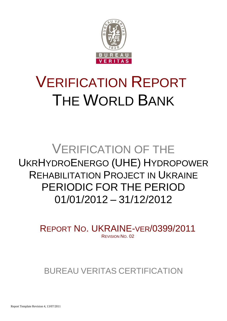

# VERIFICATION REPORT THE WORLD BANK

## VERIFICATION OF THE UKRHYDROENERGO (UHE) HYDROPOWER REHABILITATION PROJECT IN UKRAINE PERIODIC FOR THE PERIOD 01/01/2012 – 31/12/2012

REPORT NO. UKRAINE-VER/0399/2011 REVISION NO. 02

BUREAU VERITAS CERTIFICATION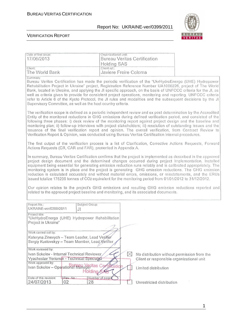Date of first issue: <br>
Organizational unit:

#### Report No: UKRAINE-ver/0399/2011



| 17/06/2013                                                                                                                                                                                                                                                                                                                                                                                                                                                                                                                                                                                                                                                                                                                                                                                                                                                                    | Bureau Veritas Certification<br><b>Holding SAS</b> |                                                                                          |  |  |  |  |  |  |  |
|-------------------------------------------------------------------------------------------------------------------------------------------------------------------------------------------------------------------------------------------------------------------------------------------------------------------------------------------------------------------------------------------------------------------------------------------------------------------------------------------------------------------------------------------------------------------------------------------------------------------------------------------------------------------------------------------------------------------------------------------------------------------------------------------------------------------------------------------------------------------------------|----------------------------------------------------|------------------------------------------------------------------------------------------|--|--|--|--|--|--|--|
| Client:<br>The World Bank                                                                                                                                                                                                                                                                                                                                                                                                                                                                                                                                                                                                                                                                                                                                                                                                                                                     | Client ref.:<br>Javiere Freire Coloma              |                                                                                          |  |  |  |  |  |  |  |
| Summary:<br>Bureau Veritas Certification has made the periodic verification of the "UkrHydroEnergo (UHE) Hydropower<br>Rehabilitation Project in Ukraine" project, Registration Reference Number UA1000226, project of The World<br>Bank, located in Ukraine, and applying the JI specific approach, on the basis of UNFCCC criteria for the JI, as<br>well as criteria given to provide for consistent project operations, monitoring and reporting. UNFCCC criteria<br>refer to Article 6 of the Kyoto Protocol, the JI rules and modalities and the subsequent decisions by the JI<br>Supervisory Committee, as well as the host country criteria.                                                                                                                                                                                                                         |                                                    |                                                                                          |  |  |  |  |  |  |  |
| The verification scope is defined as a periodic independent review and ex post determination by the Accredited<br>Entity of the monitored reductions in GHG emissions during defined verification period, and consisted of the<br>following three phases: i) desk review of the monitoring report against project design and the baseline and<br>monitoring plan; ii) follow-up interviews with project stakeholders; iii) resolution of outstanding issues and the<br>issuance of the final verification report and opinion. The overall verification, from Contract Review to<br>Verification Report & Opinion, was conducted using Bureau Veritas Certification internal procedures.                                                                                                                                                                                       |                                                    |                                                                                          |  |  |  |  |  |  |  |
| The first output of the verification process is a list of Clarification, Corrective Actions Requests, Forward<br>Actions Requests (CR, CAR and FAR), presented in Appendix A.                                                                                                                                                                                                                                                                                                                                                                                                                                                                                                                                                                                                                                                                                                 |                                                    |                                                                                          |  |  |  |  |  |  |  |
| In summary, Bureau Veritas Certification confirms that the project is implemented as described in the approved<br>project design document and the determined changes occurred during project implementation. Installed<br>equipment being essential for generating emission reduction runs reliably and is calibrated appropriately. The<br>monitoring system is in place and the project is generating GHG emission reductions. The GHG emission<br>reduction is calculated accurately and without material errors, omissions, or misstatements, and the ERUs<br>issued totalize 175235 tonnes of CO2 equivalent for the monitoring period from 01/01/2012 to 31/12/2012.<br>Our opinion relates to the project's GHG emissions and resulting GHG emission reductions reported and<br>related to the approved project baseline and monitoring, and its associated documents. |                                                    |                                                                                          |  |  |  |  |  |  |  |
| Report No.:<br>Subject Group:<br>UKRAINE-ver/0399/2011<br>JI                                                                                                                                                                                                                                                                                                                                                                                                                                                                                                                                                                                                                                                                                                                                                                                                                  |                                                    |                                                                                          |  |  |  |  |  |  |  |
| Project title:<br>"UkrHydroEnergo (UHE) Hydropower Rehabilitation<br>Project in Ukraine"                                                                                                                                                                                                                                                                                                                                                                                                                                                                                                                                                                                                                                                                                                                                                                                      |                                                    |                                                                                          |  |  |  |  |  |  |  |
| Work carried out by:<br>Kateryna Zinevych - Team Leader, Lead Verifier<br>Sergiy Kustovskyy - Team Member, Lead Verifier                                                                                                                                                                                                                                                                                                                                                                                                                                                                                                                                                                                                                                                                                                                                                      |                                                    |                                                                                          |  |  |  |  |  |  |  |
| Work reviewed by:<br>Ivan Sokolov - Internal Technical Reviewer<br>Vyacheslav Yeriomin - Technical Specialist<br>Work approved by:                                                                                                                                                                                                                                                                                                                                                                                                                                                                                                                                                                                                                                                                                                                                            | $\boxtimes$                                        | No distribution without permission from the<br>Client or responsible organizational unit |  |  |  |  |  |  |  |
| Ivan Sokolov - Operational Mahageritas Certification<br>Holding                                                                                                                                                                                                                                                                                                                                                                                                                                                                                                                                                                                                                                                                                                                                                                                                               |                                                    | Limited distribution                                                                     |  |  |  |  |  |  |  |
| Date of this revision:<br>Rev. No:<br>28<br>24/07/2013<br>02                                                                                                                                                                                                                                                                                                                                                                                                                                                                                                                                                                                                                                                                                                                                                                                                                  | Number of pages                                    | Unrestricted distribution                                                                |  |  |  |  |  |  |  |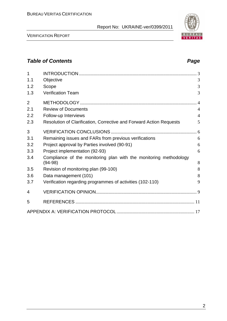VERIFICATION REPORT

### *Table of Contents Page*

| 1              |                                                                                |                |
|----------------|--------------------------------------------------------------------------------|----------------|
| 1.1            | Objective                                                                      | 3              |
| 1.2            | Scope                                                                          | 3              |
| 1.3            | <b>Verification Team</b>                                                       | 3              |
| $\overline{2}$ |                                                                                | $\overline{4}$ |
| 2.1            | <b>Review of Documents</b>                                                     | $\overline{4}$ |
| 2.2            | Follow-up Interviews                                                           | $\overline{4}$ |
| 2.3            | Resolution of Clarification, Corrective and Forward Action Requests            | 5              |
| 3              | <b>VERIFICATION CONCLUSIONS</b>                                                |                |
| 3.1            | Remaining issues and FARs from previous verifications                          | 6              |
| 3.2            | Project approval by Parties involved (90-91)                                   | 6              |
| 3.3            | Project implementation (92-93)                                                 | 6              |
| 3.4            | Compliance of the monitoring plan with the monitoring methodology<br>$(94-98)$ | 8              |
| 3.5            | Revision of monitoring plan (99-100)                                           | 8              |
| 3.6            | Data management (101)                                                          | 8              |
| 3.7            | Verification regarding programmes of activities (102-110)                      | 9              |
| 4              |                                                                                |                |
| 5              |                                                                                |                |
|                |                                                                                |                |

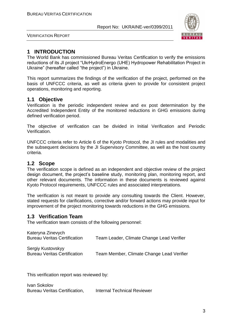

VERIFICATION REPORT

#### **1 INTRODUCTION**

The World Bank has commissioned Bureau Veritas Certification to verify the emissions reductions of its JI project "UkrHydroEnergo (UHE) Hydropower Rehabilitation Project in Ukraine" (hereafter called "the project") in Ukraine.

This report summarizes the findings of the verification of the project, performed on the basis of UNFCCC criteria, as well as criteria given to provide for consistent project operations, monitoring and reporting.

#### **1.1 Objective**

Verification is the periodic independent review and ex post determination by the Accredited Independent Entity of the monitored reductions in GHG emissions during defined verification period.

The objective of verification can be divided in Initial Verification and Periodic Verification.

UNFCCC criteria refer to Article 6 of the Kyoto Protocol, the JI rules and modalities and the subsequent decisions by the JI Supervisory Committee, as well as the host country criteria.

#### **1.2 Scope**

The verification scope is defined as an independent and objective review of the project design document, the project's baseline study, monitoring plan, monitoring report, and other relevant documents. The information in these documents is reviewed against Kyoto Protocol requirements, UNFCCC rules and associated interpretations.

The verification is not meant to provide any consulting towards the Client. However, stated requests for clarifications, corrective and/or forward actions may provide input for improvement of the project monitoring towards reductions in the GHG emissions.

#### **1.3 Verification Team**

The verification team consists of the following personnel:

| Kateryna Zinevych                   |                                           |
|-------------------------------------|-------------------------------------------|
| <b>Bureau Veritas Certification</b> | Team Leader, Climate Change Lead Verifier |
| Sergiy Kustovskyy                   |                                           |
| <b>Bureau Veritas Certification</b> | Team Member, Climate Change Lead Verifier |

This verification report was reviewed by:

Ivan Sokolov Bureau Veritas Certification, Internal Technical Reviewer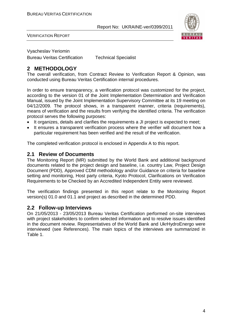

VERIFICATION REPORT

Vyacheslav Yeriomin

Bureau Veritas Certification Technical Specialist

#### **2 METHODOLOGY**

The overall verification, from Contract Review to Verification Report & Opinion, was conducted using Bureau Veritas Certification internal procedures.

In order to ensure transparency, a verification protocol was customized for the project, according to the version 01 of the Joint Implementation Determination and Verification Manual, issued by the Joint Implementation Supervisory Committee at its 19 meeting on 04/12/2009. The protocol shows, in a transparent manner, criteria (requirements), means of verification and the results from verifying the identified criteria. The verification protocol serves the following purposes:

- It organizes, details and clarifies the requirements a JI project is expected to meet;
- It ensures a transparent verification process where the verifier will document how a particular requirement has been verified and the result of the verification.

The completed verification protocol is enclosed in Appendix A to this report.

#### **2.1 Review of Documents**

The Monitoring Report (MR) submitted by the World Bank and additional background documents related to the project design and baseline, i.e. country Law, Project Design Document (PDD), Approved CDM methodology and/or Guidance on criteria for baseline setting and monitoring, Host party criteria, Kyoto Protocol, Clarifications on Verification Requirements to be Checked by an Accredited Independent Entity were reviewed.

The verification findings presented in this report relate to the Monitoring Report version(s) 01.0 and 01.1 and project as described in the determined PDD.

#### **2.2 Follow-up Interviews**

On 21/05/2013 - 23/05/2013 Bureau Veritas Certification performed on-site interviews with project stakeholders to confirm selected information and to resolve issues identified in the document review. Representatives of the World Bank and UkrHydroEnergo were interviewed (see References). The main topics of the interviews are summarized in Table 1.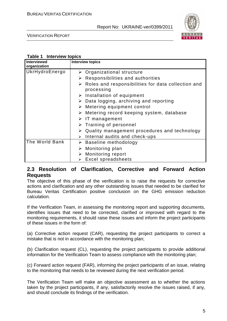

VERIFICATION REPORT

#### **Table 1 Interview topics**

| <b>Interviewed</b><br>organization | <b>Interview topics</b>                                                           |
|------------------------------------|-----------------------------------------------------------------------------------|
| UkrHydroEnergo                     | $\triangleright$ Organizational structure                                         |
|                                    | $\triangleright$ Responsibilities and authorities                                 |
|                                    | $\triangleright$ Roles and responsibilities for data collection and<br>processing |
|                                    | $\triangleright$ Installation of equipment                                        |
|                                    | $\triangleright$ Data logging, archiving and reporting                            |
|                                    | $\triangleright$ Metering equipment control                                       |
|                                    | Metering record keeping system, database<br>➤                                     |
|                                    | $\triangleright$ IT management                                                    |
|                                    | $\triangleright$ Training of personnel                                            |
|                                    | $\triangleright$ Quality management procedures and technology                     |
|                                    | Internal audits and check-ups<br>$\blacktriangleright$                            |
| The World Bank                     | $\triangleright$ Baseline methodology                                             |
|                                    | Monitoring plan<br>➤                                                              |
|                                    | Monitoring report                                                                 |
|                                    | Excel spreadsheets                                                                |

#### **2.3 Resolution of Clarification, Corrective and Forward Action Requests**

The objective of this phase of the verification is to raise the requests for corrective actions and clarification and any other outstanding issues that needed to be clarified for Bureau Veritas Certification positive conclusion on the GHG emission reduction calculation.

If the Verification Team, in assessing the monitoring report and supporting documents, identifies issues that need to be corrected, clarified or improved with regard to the monitoring requirements, it should raise these issues and inform the project participants of these issues in the form of:

(a) Corrective action request (CAR), requesting the project participants to correct a mistake that is not in accordance with the monitoring plan;

(b) Clarification request (CL), requesting the project participants to provide additional information for the Verification Team to assess compliance with the monitoring plan;

(c) Forward action request (FAR), informing the project participants of an issue, relating to the monitoring that needs to be reviewed during the next verification period.

The Verification Team will make an objective assessment as to whether the actions taken by the project participants, if any, satisfactorily resolve the issues raised, if any, and should conclude its findings of the verification.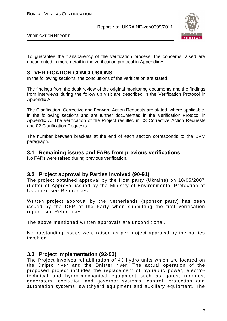

VERIFICATION REPORT

To guarantee the transparency of the verification process, the concerns raised are documented in more detail in the verification protocol in Appendix A.

#### **3 VERIFICATION CONCLUSIONS**

In the following sections, the conclusions of the verification are stated.

The findings from the desk review of the original monitoring documents and the findings from interviews during the follow up visit are described in the Verification Protocol in Appendix A.

The Clarification, Corrective and Forward Action Requests are stated, where applicable, in the following sections and are further documented in the Verification Protocol in Appendix A. The verification of the Project resulted in 03 Corrective Action Requests and 02 Clarification Requests.

The number between brackets at the end of each section corresponds to the DVM paragraph.

#### **3.1 Remaining issues and FARs from previous verifications**

No FARs were raised during previous verification.

#### **3.2 Project approval by Parties involved (90-91)**

The project obtained approval by the Host party (Ukraine) on 18/05/2007 (Letter of Approval issued by the Ministry of Environmental Protection of Ukraine), see References.

Written project approval by the Netherlands (sponsor party) has been issued by the DFP of the Party when submitting the first verification report, see References.

The above mentioned written approvals are unconditional.

No outstanding issues were raised as per project approval by the parties involved.

#### **3.3 Project implementation (92-93)**

The Project involves rehabilitation of 43 hydro units which are located on the Dnipro river and the Dnister river. The actual operation of the proposed project includes the replacement of hydraulic power, electro technical and hydro-mechanical equipment such as gates, turbines, generators, excitation and governor systems, control, protection and automation systems, switchyard equipment and auxiliary equipment. The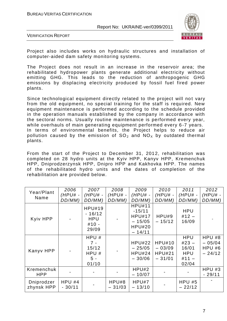

VERIFICATION REPORT

Project also includes works on hydraulic structures and installation of computer-aided dam safety monitoring systems.

The Project does not result in an increase in the reservoir area; the rehabilitated hydropower plants generate additional electricity without emitting GHG. This leads to the reduction of anthropogenic GHG emissions by displacing electricity produced by fossil fuel fired power plants.

Since technological equipment directly related to the project will not vary from the old equipment, no special training for the staff is required. New equipment maintenance is performed according to the schedule provided in the operation manuals established by the company in accordance with the sectoral norms. Usually routine maintenance is performed every year, while overhauls of main generating equipment performed every 6 -7 years. In terms of environmental benefits, the Project helps to reduce air pollution caused by the emission of  $SO<sub>2</sub>$  and  $NO<sub>X</sub>$  by outdated thermal plants.

From the start of the Project to December 31, 2012, rehabilitation was completed on 28 hydro units at the Kyiv HPP, Kanyv HPP, Kremenchuk HPP, Dniprodzerzynsk HPP, Dnipro HPP and Kakhovka HPP. The names of the rehabilitated hydro units and the dates of completion of the rehabilitation are provided below.

|                          | 2006                 | 2007                                                        | 2008              | 2009                                                                                | 2010                                                   | 2011                                                             | 2012                                   |
|--------------------------|----------------------|-------------------------------------------------------------|-------------------|-------------------------------------------------------------------------------------|--------------------------------------------------------|------------------------------------------------------------------|----------------------------------------|
| Year/Plant               | $(HPU# -$            | $(HPU# -$                                                   | $(HPU# -$         | (HPU# -                                                                             | $(HPU# -$                                              | $(HPU# -$                                                        | $(HPU# -$                              |
| Name                     | DD/MM)               | DD/MM)                                                      | DD/MM)            | DD/MM)                                                                              | DD/MM)                                                 | DD/MM)                                                           | DD/MM)                                 |
| Kyiv HPP                 |                      | <b>HPU#19</b><br>$-16/12$<br><b>HPU</b><br>$#10 -$<br>29/09 |                   | <b>HPU#11</b><br>$-15/11$<br><b>HPU#17</b><br>$-15/05$<br><b>HPU#20</b><br>$-14/11$ | HPU#9<br>$-15/12$                                      | <b>HPU</b><br>$#12 -$<br>16/09                                   |                                        |
| Kanyv HPP                |                      | HPU#<br>$7 -$<br>15/12<br>HPU #<br>$5 -$<br>01/10           |                   | <b>HPU#22</b><br>$-25/05$<br><b>HPU#24</b><br>$-30/06$                              | <b>HPU#10</b><br>$-03/09$<br><b>HPU#21</b><br>$-31/01$ | <b>HPU</b><br>$#23 -$<br>16/01<br><b>HPU</b><br>$#11 -$<br>02/04 | HPU#8<br>$-05/04$<br>HPU#6<br>$-24/12$ |
| Kremenchuk<br><b>HPP</b> |                      |                                                             |                   | HPU#2<br>$-10/07$                                                                   |                                                        |                                                                  | HPU#3<br>$-29/11$                      |
| Dniprodzer<br>zhynsk HPP | $HPU$ #4<br>$-30/11$ |                                                             | HPU#8<br>$-31/03$ | HPU#7<br>$-13/10$                                                                   |                                                        | HPU#5<br>$-22/12$                                                |                                        |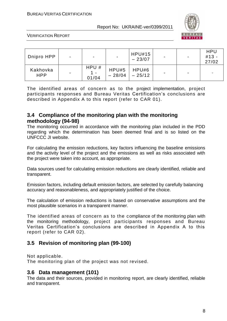

VERIFICATION REPORT

| Dnipro HPP             | $\overline{\phantom{0}}$ | ۰                    | $\sim$            | <b>HPU#15</b><br>$-23/07$ | -              | $\blacksquare$           | <b>HPU</b><br>$#13 -$<br>27/02 |
|------------------------|--------------------------|----------------------|-------------------|---------------------------|----------------|--------------------------|--------------------------------|
| Kakhovka<br><b>HPP</b> |                          | HPU#<br>1 –<br>01/04 | HPU#5<br>$-28/04$ | HPU#6<br>$-25/12$         | $\blacksquare$ | $\overline{\phantom{0}}$ |                                |

The identified areas of concern as to the project implementation, project participants responses and Bureau Veritas Certification's conclusions are described in Appendix A to this report (refer to CAR 01).

#### **3.4 Compliance of the monitoring plan with the monitoring methodology (94-98)**

The monitoring occurred in accordance with the monitoring plan included in the PDD regarding which the determination has been deemed final and is so listed on the UNFCCC JI website.

For calculating the emission reductions, key factors influencing the baseline emissions and the activity level of the project and the emissions as well as risks associated with the project were taken into account, as appropriate.

Data sources used for calculating emission reductions are clearly identified, reliable and transparent.

Emission factors, including default emission factors, are selected by carefully balancing accuracy and reasonableness, and appropriately justified of the choice.

The calculation of emission reductions is based on conservative assumptions and the most plausible scenarios in a transparent manner.

The identified areas of concern as to the compliance of the monitoring plan with the monitoring methodology, project participants responses and Bureau Veritas Certification's conclusions are described in Appendix A to this report (refer to CAR 02).

#### **3.5 Revision of monitoring plan (99-100)**

Not applicable.

The monitoring plan of the project was not revised.

#### **3.6 Data management (101)**

The data and their sources, provided in monitoring report, are clearly identified, reliable and transparent.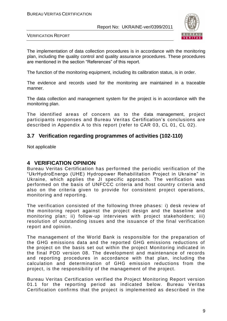

VERIFICATION REPORT

The implementation of data collection procedures is in accordance with the monitoring plan, including the quality control and quality assurance procedures. These procedures are mentioned in the section "References" of this report.

The function of the monitoring equipment, including its calibration status, is in order.

The evidence and records used for the monitoring are maintained in a traceable manner.

The data collection and management system for the project is in accordance with the monitoring plan.

The identified areas of concern as to the data management, project participants responses and Bureau Veritas Certification's conclusions are described in Appendix A to this report (refer to CAR 03, CL 01, CL 02).

#### **3.7 Verification regarding programmes of activities (102-110)**

Not applicable

#### **4 VERIFICATION OPINION**

Bureau Veritas Certification has performed the periodic verification of the "UkrHydroEnergo (UHE) Hydropower Rehabilitation Project in Ukraine" in Ukraine, which applies the JI specific approach. The verification was performed on the basis of UNFCCC criteria and host country criteria and also on the criteria given to provide for consistent project operations, monitoring and reporting.

The verification consisted of the following three phases: i) desk review of the monitoring report against the project design and the baseline and monitoring plan; ii) follow-up interviews with project stakeholders; iii) resolution of outstanding issues and the issuance of the final verification report and opinion.

The management of the World Bank is responsible for the preparation of the GHG emissions data and the reported GHG emissions reductions of the project on the basis set out within the project Monitoring indicated in the final PDD version 08. The development and maintenance of records and reporting procedures in accordance with that plan, including the calculation and determination of GHG emission reductions from the project, is the responsibility of the management of the project.

Bureau Veritas Certification verified the Project Monitoring Report version 01.1 for the reporting period as indicated below. Bureau Veritas Certification confirms that the project is implemented as described in the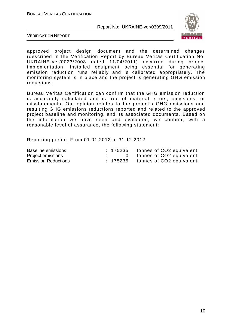

VERIFICATION REPORT

approved project design document and the determined changes (described in the Verification Report by Bureau Veritas Certification No. UKRAINE-ver/0023/2008 dated 11/04/2011) occurred during project implementation. Installed equipment being essential for generating emission reduction runs reliably and is calibrated appropriately. The monitoring system is in place and the project is generating GHG emission reductions.

Bureau Veritas Certification can confirm that the GHG emission reduction is accurately calculated and is free of material errors, omissions, or misstatements. Our opinion relates to the project's GHG emissions and resulting GHG emissions reductions reported and related to the approved project baseline and monitoring, and its associated documents. Based on the information we have seen and evaluated, we confirm, with a reasonable level of assurance, the following statement:

Reporting period: From 01.01.2012 to 31.12.2012

| Baseline emissions         |  | : 175235 tonnes of CO2 equivalent   |
|----------------------------|--|-------------------------------------|
| Project emissions          |  | 0 tonnes of CO2 equivalent          |
| <b>Emission Reductions</b> |  | $: 175235$ tonnes of CO2 equivalent |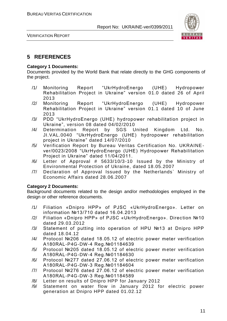

VERIFICATION REPORT

#### **5 REFERENCES**

#### **Category 1 Documents:**

Documents provided by the World Bank that relate directly to the GHG components of the project.

- /1/ Monitoring Report "UkrHydroEnergo (UHE) Hydropower Rehabilitation Project in Ukraine" version 01.0 dated 26 of April 2013
- /2/ Monitoring Report "UkrHydroEnergo (UHE) Hydropower Rehabilitation Project in Ukraine" version 01.1 dated 10 of June 2013
- /3/ PDD "UkrHydroEnergo (UHE) hydropower rehabilitation project in Ukraine", version 08 dated 04/02/2010
- /4/ Determination Report by SGS United Kingdom Ltd. No. JI.VAL.0040 "UkrHydroEnergo (UHE) hydropower rehabilitation project in Ukraine" dated 14/07/2010
- /5/ Verification Report by Bureau Veritas Certification No. UKRAINEver/0023/2008 "UkrHydroEnergo (UHE) Hydropower Rehabilitation Project in Ukraine" dated 11/04/2011.
- /6/ Letter of Approval # 5633/10/3-10 Issued by the Ministry of Environmental Protection of Ukraine, dated 18.05.2007
- /7/ Declaration of Approval Issued by the Netherlands` Ministry of Economic Affairs dated 28.06.2007

#### **Category 2 Documents:**

Background documents related to the design and/or methodologies employed in the design or other reference documents.

- /1/ Filiation «Dnipro HPP» of PJSC «UkrHydroEnergo». Letter on information №13/710 dated 16.04.2013
- /2/ Filiation «Dnipro HPP» of PJSC «UkrHydroEnergo». Direction №10 dated 29.03.2012
- /3/ Statement of putting into operation of HPU №13 at Dnipro HPP dated 18.04.12
- /4/ Protocol №206 dated 18.05.12 of electric power meter verification А180RAL-P4G-DW-4 Reg.№01184639
- /5/ Protocol №205 dated 18.05.12 of electric power m eter verification А180RAL-P4G-DW-4 Reg.№01184630
- /6/ Protocol №277 dated 27.06.12 of electric power meter verification А180RAL-P4G-DW-3 Reg.№01184604
- /7/ Protocol №276 dated 27.06.12 of electric power meter verification А180RAL-P4G-DW-3 Reg.№01184589
- /8/ Letter on results of Dnipro HPP for January 2012
- /9/ Statement on water flow in January 2012 for electric power generation at Dnipro HPP dated 01.02.12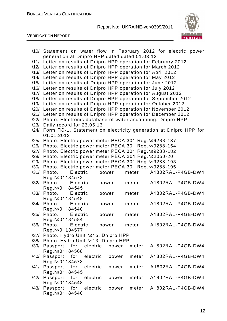

| generation at Dnipro HPP dated dated 01.03.12<br>/11/ Letter on results of Dnipro HPP operation for February 2012<br>/12/ Letter on results of Dnipro HPP operation for March 2012<br>/13/ Letter on results of Dnipro HPP operation for April 2012<br>/14/ Letter on results of Dnipro HPP operation for May 2012<br>/15/ Letter on results of Dnipro HPP operation for June 2012<br>/16/ Letter on results of Dnipro HPP operation for July 2012<br>/17/ Letter on results of Dnipro HPP operation for August 2012<br>/18/ Letter on results of Dnipro HPP operation for September 2012<br>/19/ Letter on results of Dnipro HPP operation for October 2012<br>/20/ Letter on results of Dnipro HPP operation for November 2012<br>/21/ Letter on results of Dnipro HPP operation for December 2012<br>/22/ Photo. Electronic database of water accounting. Dnipro HPP<br>/23/ Daily record for 23.05.13<br>/24/ Form N3-1. Statement on electricity generation at Dnipro HPP for<br>01.01.2013<br>/25/ Photo. Electric power meter PECA 301 Reg. №9288-187<br>/26/ Photo. Electric power meter PECA 301 Reg. №9288-154<br>/27/ Photo. Electric power meter PECA 301 Reg. №9288-182<br>/28/ Photo. Electric power meter PECA 301 Reg. №2050-20<br>/29/ Photo. Electric power meter PECA 301 Reg. №9288-193<br>/30/ Photo. Electric power meter PECA 301 Reg. №9288-195<br>A1802RAL-P4GB-DW4<br>Photo.<br>Electric<br>meter<br>/31/<br>power<br>Reg. Nº 01184573<br>Photo.<br>A1802RAL-P4GB-DW4<br>/32/<br>Electric<br>meter<br>power<br>Reg. Nº 01184545<br>/33/ Photo.<br>meter<br>Electric<br>A1802RAL-P4GB-DW4<br>power<br>Reg. Nº 01184548<br>Photo.<br>A1802RAL-P4GB-DW4<br>/34/<br>Electric<br>power<br>meter<br>Reg. Nº01184540<br>/35/ Photo. Electric<br>A1802RAL-P4GB-DW4<br>meter<br>power<br>Reg. Nº 01184584<br>/36/<br>Photo.<br>Electric<br>meter<br>A1802RAL-P4GB-DW4<br>power<br>Reg. Nº 01184577<br>Photo. Hydro Unit №15. Dnipro HPP<br>/37/<br>Photo. Hydro Unit №13. Dnipro HPP<br>/38/<br>/39/ Passport for electric<br>power<br>meter<br>A1802RAL-P4GB-DW4<br>Reg. Nº 01184568<br>/40/<br>Passport<br>for<br>electric<br>A1802RAL-P4GB-DW4<br>meter<br>power<br>Reg. Nº 01184573<br>/41/ Passport for electric<br>A1802RAL-P4GB-DW4<br>meter<br>power<br>Reg. Nº01184545<br>Passport for<br>electric<br>A1802RAL-P4GB-DW4<br>/42/<br>meter<br>power<br>Reg. Nº 01184548<br>Passport<br>for<br>electric<br>A1802RAL-P4GB-DW4<br>/43/<br>meter<br>power<br>Reg. Nº 01184540 | /10/ Statement on water flow in February 2012 for electric power |  |
|---------------------------------------------------------------------------------------------------------------------------------------------------------------------------------------------------------------------------------------------------------------------------------------------------------------------------------------------------------------------------------------------------------------------------------------------------------------------------------------------------------------------------------------------------------------------------------------------------------------------------------------------------------------------------------------------------------------------------------------------------------------------------------------------------------------------------------------------------------------------------------------------------------------------------------------------------------------------------------------------------------------------------------------------------------------------------------------------------------------------------------------------------------------------------------------------------------------------------------------------------------------------------------------------------------------------------------------------------------------------------------------------------------------------------------------------------------------------------------------------------------------------------------------------------------------------------------------------------------------------------------------------------------------------------------------------------------------------------------------------------------------------------------------------------------------------------------------------------------------------------------------------------------------------------------------------------------------------------------------------------------------------------------------------------------------------------------------------------------------------------------------------------------------------------------------------------------------------------------------------------------------------------------------------------------------------------------------------------------------------------------------------------------------------------------------------------------------------------------------------------|------------------------------------------------------------------|--|
|                                                                                                                                                                                                                                                                                                                                                                                                                                                                                                                                                                                                                                                                                                                                                                                                                                                                                                                                                                                                                                                                                                                                                                                                                                                                                                                                                                                                                                                                                                                                                                                                                                                                                                                                                                                                                                                                                                                                                                                                                                                                                                                                                                                                                                                                                                                                                                                                                                                                                                   |                                                                  |  |
|                                                                                                                                                                                                                                                                                                                                                                                                                                                                                                                                                                                                                                                                                                                                                                                                                                                                                                                                                                                                                                                                                                                                                                                                                                                                                                                                                                                                                                                                                                                                                                                                                                                                                                                                                                                                                                                                                                                                                                                                                                                                                                                                                                                                                                                                                                                                                                                                                                                                                                   |                                                                  |  |
|                                                                                                                                                                                                                                                                                                                                                                                                                                                                                                                                                                                                                                                                                                                                                                                                                                                                                                                                                                                                                                                                                                                                                                                                                                                                                                                                                                                                                                                                                                                                                                                                                                                                                                                                                                                                                                                                                                                                                                                                                                                                                                                                                                                                                                                                                                                                                                                                                                                                                                   |                                                                  |  |
|                                                                                                                                                                                                                                                                                                                                                                                                                                                                                                                                                                                                                                                                                                                                                                                                                                                                                                                                                                                                                                                                                                                                                                                                                                                                                                                                                                                                                                                                                                                                                                                                                                                                                                                                                                                                                                                                                                                                                                                                                                                                                                                                                                                                                                                                                                                                                                                                                                                                                                   |                                                                  |  |
|                                                                                                                                                                                                                                                                                                                                                                                                                                                                                                                                                                                                                                                                                                                                                                                                                                                                                                                                                                                                                                                                                                                                                                                                                                                                                                                                                                                                                                                                                                                                                                                                                                                                                                                                                                                                                                                                                                                                                                                                                                                                                                                                                                                                                                                                                                                                                                                                                                                                                                   |                                                                  |  |
|                                                                                                                                                                                                                                                                                                                                                                                                                                                                                                                                                                                                                                                                                                                                                                                                                                                                                                                                                                                                                                                                                                                                                                                                                                                                                                                                                                                                                                                                                                                                                                                                                                                                                                                                                                                                                                                                                                                                                                                                                                                                                                                                                                                                                                                                                                                                                                                                                                                                                                   |                                                                  |  |
|                                                                                                                                                                                                                                                                                                                                                                                                                                                                                                                                                                                                                                                                                                                                                                                                                                                                                                                                                                                                                                                                                                                                                                                                                                                                                                                                                                                                                                                                                                                                                                                                                                                                                                                                                                                                                                                                                                                                                                                                                                                                                                                                                                                                                                                                                                                                                                                                                                                                                                   |                                                                  |  |
|                                                                                                                                                                                                                                                                                                                                                                                                                                                                                                                                                                                                                                                                                                                                                                                                                                                                                                                                                                                                                                                                                                                                                                                                                                                                                                                                                                                                                                                                                                                                                                                                                                                                                                                                                                                                                                                                                                                                                                                                                                                                                                                                                                                                                                                                                                                                                                                                                                                                                                   |                                                                  |  |
|                                                                                                                                                                                                                                                                                                                                                                                                                                                                                                                                                                                                                                                                                                                                                                                                                                                                                                                                                                                                                                                                                                                                                                                                                                                                                                                                                                                                                                                                                                                                                                                                                                                                                                                                                                                                                                                                                                                                                                                                                                                                                                                                                                                                                                                                                                                                                                                                                                                                                                   |                                                                  |  |
|                                                                                                                                                                                                                                                                                                                                                                                                                                                                                                                                                                                                                                                                                                                                                                                                                                                                                                                                                                                                                                                                                                                                                                                                                                                                                                                                                                                                                                                                                                                                                                                                                                                                                                                                                                                                                                                                                                                                                                                                                                                                                                                                                                                                                                                                                                                                                                                                                                                                                                   |                                                                  |  |
|                                                                                                                                                                                                                                                                                                                                                                                                                                                                                                                                                                                                                                                                                                                                                                                                                                                                                                                                                                                                                                                                                                                                                                                                                                                                                                                                                                                                                                                                                                                                                                                                                                                                                                                                                                                                                                                                                                                                                                                                                                                                                                                                                                                                                                                                                                                                                                                                                                                                                                   |                                                                  |  |
|                                                                                                                                                                                                                                                                                                                                                                                                                                                                                                                                                                                                                                                                                                                                                                                                                                                                                                                                                                                                                                                                                                                                                                                                                                                                                                                                                                                                                                                                                                                                                                                                                                                                                                                                                                                                                                                                                                                                                                                                                                                                                                                                                                                                                                                                                                                                                                                                                                                                                                   |                                                                  |  |
|                                                                                                                                                                                                                                                                                                                                                                                                                                                                                                                                                                                                                                                                                                                                                                                                                                                                                                                                                                                                                                                                                                                                                                                                                                                                                                                                                                                                                                                                                                                                                                                                                                                                                                                                                                                                                                                                                                                                                                                                                                                                                                                                                                                                                                                                                                                                                                                                                                                                                                   |                                                                  |  |
|                                                                                                                                                                                                                                                                                                                                                                                                                                                                                                                                                                                                                                                                                                                                                                                                                                                                                                                                                                                                                                                                                                                                                                                                                                                                                                                                                                                                                                                                                                                                                                                                                                                                                                                                                                                                                                                                                                                                                                                                                                                                                                                                                                                                                                                                                                                                                                                                                                                                                                   |                                                                  |  |
|                                                                                                                                                                                                                                                                                                                                                                                                                                                                                                                                                                                                                                                                                                                                                                                                                                                                                                                                                                                                                                                                                                                                                                                                                                                                                                                                                                                                                                                                                                                                                                                                                                                                                                                                                                                                                                                                                                                                                                                                                                                                                                                                                                                                                                                                                                                                                                                                                                                                                                   |                                                                  |  |
|                                                                                                                                                                                                                                                                                                                                                                                                                                                                                                                                                                                                                                                                                                                                                                                                                                                                                                                                                                                                                                                                                                                                                                                                                                                                                                                                                                                                                                                                                                                                                                                                                                                                                                                                                                                                                                                                                                                                                                                                                                                                                                                                                                                                                                                                                                                                                                                                                                                                                                   |                                                                  |  |
|                                                                                                                                                                                                                                                                                                                                                                                                                                                                                                                                                                                                                                                                                                                                                                                                                                                                                                                                                                                                                                                                                                                                                                                                                                                                                                                                                                                                                                                                                                                                                                                                                                                                                                                                                                                                                                                                                                                                                                                                                                                                                                                                                                                                                                                                                                                                                                                                                                                                                                   |                                                                  |  |
|                                                                                                                                                                                                                                                                                                                                                                                                                                                                                                                                                                                                                                                                                                                                                                                                                                                                                                                                                                                                                                                                                                                                                                                                                                                                                                                                                                                                                                                                                                                                                                                                                                                                                                                                                                                                                                                                                                                                                                                                                                                                                                                                                                                                                                                                                                                                                                                                                                                                                                   |                                                                  |  |
|                                                                                                                                                                                                                                                                                                                                                                                                                                                                                                                                                                                                                                                                                                                                                                                                                                                                                                                                                                                                                                                                                                                                                                                                                                                                                                                                                                                                                                                                                                                                                                                                                                                                                                                                                                                                                                                                                                                                                                                                                                                                                                                                                                                                                                                                                                                                                                                                                                                                                                   |                                                                  |  |
|                                                                                                                                                                                                                                                                                                                                                                                                                                                                                                                                                                                                                                                                                                                                                                                                                                                                                                                                                                                                                                                                                                                                                                                                                                                                                                                                                                                                                                                                                                                                                                                                                                                                                                                                                                                                                                                                                                                                                                                                                                                                                                                                                                                                                                                                                                                                                                                                                                                                                                   |                                                                  |  |
|                                                                                                                                                                                                                                                                                                                                                                                                                                                                                                                                                                                                                                                                                                                                                                                                                                                                                                                                                                                                                                                                                                                                                                                                                                                                                                                                                                                                                                                                                                                                                                                                                                                                                                                                                                                                                                                                                                                                                                                                                                                                                                                                                                                                                                                                                                                                                                                                                                                                                                   |                                                                  |  |
|                                                                                                                                                                                                                                                                                                                                                                                                                                                                                                                                                                                                                                                                                                                                                                                                                                                                                                                                                                                                                                                                                                                                                                                                                                                                                                                                                                                                                                                                                                                                                                                                                                                                                                                                                                                                                                                                                                                                                                                                                                                                                                                                                                                                                                                                                                                                                                                                                                                                                                   |                                                                  |  |
|                                                                                                                                                                                                                                                                                                                                                                                                                                                                                                                                                                                                                                                                                                                                                                                                                                                                                                                                                                                                                                                                                                                                                                                                                                                                                                                                                                                                                                                                                                                                                                                                                                                                                                                                                                                                                                                                                                                                                                                                                                                                                                                                                                                                                                                                                                                                                                                                                                                                                                   |                                                                  |  |
|                                                                                                                                                                                                                                                                                                                                                                                                                                                                                                                                                                                                                                                                                                                                                                                                                                                                                                                                                                                                                                                                                                                                                                                                                                                                                                                                                                                                                                                                                                                                                                                                                                                                                                                                                                                                                                                                                                                                                                                                                                                                                                                                                                                                                                                                                                                                                                                                                                                                                                   |                                                                  |  |
|                                                                                                                                                                                                                                                                                                                                                                                                                                                                                                                                                                                                                                                                                                                                                                                                                                                                                                                                                                                                                                                                                                                                                                                                                                                                                                                                                                                                                                                                                                                                                                                                                                                                                                                                                                                                                                                                                                                                                                                                                                                                                                                                                                                                                                                                                                                                                                                                                                                                                                   |                                                                  |  |
|                                                                                                                                                                                                                                                                                                                                                                                                                                                                                                                                                                                                                                                                                                                                                                                                                                                                                                                                                                                                                                                                                                                                                                                                                                                                                                                                                                                                                                                                                                                                                                                                                                                                                                                                                                                                                                                                                                                                                                                                                                                                                                                                                                                                                                                                                                                                                                                                                                                                                                   |                                                                  |  |
|                                                                                                                                                                                                                                                                                                                                                                                                                                                                                                                                                                                                                                                                                                                                                                                                                                                                                                                                                                                                                                                                                                                                                                                                                                                                                                                                                                                                                                                                                                                                                                                                                                                                                                                                                                                                                                                                                                                                                                                                                                                                                                                                                                                                                                                                                                                                                                                                                                                                                                   |                                                                  |  |
|                                                                                                                                                                                                                                                                                                                                                                                                                                                                                                                                                                                                                                                                                                                                                                                                                                                                                                                                                                                                                                                                                                                                                                                                                                                                                                                                                                                                                                                                                                                                                                                                                                                                                                                                                                                                                                                                                                                                                                                                                                                                                                                                                                                                                                                                                                                                                                                                                                                                                                   |                                                                  |  |
|                                                                                                                                                                                                                                                                                                                                                                                                                                                                                                                                                                                                                                                                                                                                                                                                                                                                                                                                                                                                                                                                                                                                                                                                                                                                                                                                                                                                                                                                                                                                                                                                                                                                                                                                                                                                                                                                                                                                                                                                                                                                                                                                                                                                                                                                                                                                                                                                                                                                                                   |                                                                  |  |
|                                                                                                                                                                                                                                                                                                                                                                                                                                                                                                                                                                                                                                                                                                                                                                                                                                                                                                                                                                                                                                                                                                                                                                                                                                                                                                                                                                                                                                                                                                                                                                                                                                                                                                                                                                                                                                                                                                                                                                                                                                                                                                                                                                                                                                                                                                                                                                                                                                                                                                   |                                                                  |  |
|                                                                                                                                                                                                                                                                                                                                                                                                                                                                                                                                                                                                                                                                                                                                                                                                                                                                                                                                                                                                                                                                                                                                                                                                                                                                                                                                                                                                                                                                                                                                                                                                                                                                                                                                                                                                                                                                                                                                                                                                                                                                                                                                                                                                                                                                                                                                                                                                                                                                                                   |                                                                  |  |
|                                                                                                                                                                                                                                                                                                                                                                                                                                                                                                                                                                                                                                                                                                                                                                                                                                                                                                                                                                                                                                                                                                                                                                                                                                                                                                                                                                                                                                                                                                                                                                                                                                                                                                                                                                                                                                                                                                                                                                                                                                                                                                                                                                                                                                                                                                                                                                                                                                                                                                   |                                                                  |  |
|                                                                                                                                                                                                                                                                                                                                                                                                                                                                                                                                                                                                                                                                                                                                                                                                                                                                                                                                                                                                                                                                                                                                                                                                                                                                                                                                                                                                                                                                                                                                                                                                                                                                                                                                                                                                                                                                                                                                                                                                                                                                                                                                                                                                                                                                                                                                                                                                                                                                                                   |                                                                  |  |
|                                                                                                                                                                                                                                                                                                                                                                                                                                                                                                                                                                                                                                                                                                                                                                                                                                                                                                                                                                                                                                                                                                                                                                                                                                                                                                                                                                                                                                                                                                                                                                                                                                                                                                                                                                                                                                                                                                                                                                                                                                                                                                                                                                                                                                                                                                                                                                                                                                                                                                   |                                                                  |  |
|                                                                                                                                                                                                                                                                                                                                                                                                                                                                                                                                                                                                                                                                                                                                                                                                                                                                                                                                                                                                                                                                                                                                                                                                                                                                                                                                                                                                                                                                                                                                                                                                                                                                                                                                                                                                                                                                                                                                                                                                                                                                                                                                                                                                                                                                                                                                                                                                                                                                                                   |                                                                  |  |
|                                                                                                                                                                                                                                                                                                                                                                                                                                                                                                                                                                                                                                                                                                                                                                                                                                                                                                                                                                                                                                                                                                                                                                                                                                                                                                                                                                                                                                                                                                                                                                                                                                                                                                                                                                                                                                                                                                                                                                                                                                                                                                                                                                                                                                                                                                                                                                                                                                                                                                   |                                                                  |  |
|                                                                                                                                                                                                                                                                                                                                                                                                                                                                                                                                                                                                                                                                                                                                                                                                                                                                                                                                                                                                                                                                                                                                                                                                                                                                                                                                                                                                                                                                                                                                                                                                                                                                                                                                                                                                                                                                                                                                                                                                                                                                                                                                                                                                                                                                                                                                                                                                                                                                                                   |                                                                  |  |
|                                                                                                                                                                                                                                                                                                                                                                                                                                                                                                                                                                                                                                                                                                                                                                                                                                                                                                                                                                                                                                                                                                                                                                                                                                                                                                                                                                                                                                                                                                                                                                                                                                                                                                                                                                                                                                                                                                                                                                                                                                                                                                                                                                                                                                                                                                                                                                                                                                                                                                   |                                                                  |  |
|                                                                                                                                                                                                                                                                                                                                                                                                                                                                                                                                                                                                                                                                                                                                                                                                                                                                                                                                                                                                                                                                                                                                                                                                                                                                                                                                                                                                                                                                                                                                                                                                                                                                                                                                                                                                                                                                                                                                                                                                                                                                                                                                                                                                                                                                                                                                                                                                                                                                                                   |                                                                  |  |
|                                                                                                                                                                                                                                                                                                                                                                                                                                                                                                                                                                                                                                                                                                                                                                                                                                                                                                                                                                                                                                                                                                                                                                                                                                                                                                                                                                                                                                                                                                                                                                                                                                                                                                                                                                                                                                                                                                                                                                                                                                                                                                                                                                                                                                                                                                                                                                                                                                                                                                   |                                                                  |  |
|                                                                                                                                                                                                                                                                                                                                                                                                                                                                                                                                                                                                                                                                                                                                                                                                                                                                                                                                                                                                                                                                                                                                                                                                                                                                                                                                                                                                                                                                                                                                                                                                                                                                                                                                                                                                                                                                                                                                                                                                                                                                                                                                                                                                                                                                                                                                                                                                                                                                                                   |                                                                  |  |
|                                                                                                                                                                                                                                                                                                                                                                                                                                                                                                                                                                                                                                                                                                                                                                                                                                                                                                                                                                                                                                                                                                                                                                                                                                                                                                                                                                                                                                                                                                                                                                                                                                                                                                                                                                                                                                                                                                                                                                                                                                                                                                                                                                                                                                                                                                                                                                                                                                                                                                   |                                                                  |  |
|                                                                                                                                                                                                                                                                                                                                                                                                                                                                                                                                                                                                                                                                                                                                                                                                                                                                                                                                                                                                                                                                                                                                                                                                                                                                                                                                                                                                                                                                                                                                                                                                                                                                                                                                                                                                                                                                                                                                                                                                                                                                                                                                                                                                                                                                                                                                                                                                                                                                                                   |                                                                  |  |
|                                                                                                                                                                                                                                                                                                                                                                                                                                                                                                                                                                                                                                                                                                                                                                                                                                                                                                                                                                                                                                                                                                                                                                                                                                                                                                                                                                                                                                                                                                                                                                                                                                                                                                                                                                                                                                                                                                                                                                                                                                                                                                                                                                                                                                                                                                                                                                                                                                                                                                   |                                                                  |  |
|                                                                                                                                                                                                                                                                                                                                                                                                                                                                                                                                                                                                                                                                                                                                                                                                                                                                                                                                                                                                                                                                                                                                                                                                                                                                                                                                                                                                                                                                                                                                                                                                                                                                                                                                                                                                                                                                                                                                                                                                                                                                                                                                                                                                                                                                                                                                                                                                                                                                                                   |                                                                  |  |
|                                                                                                                                                                                                                                                                                                                                                                                                                                                                                                                                                                                                                                                                                                                                                                                                                                                                                                                                                                                                                                                                                                                                                                                                                                                                                                                                                                                                                                                                                                                                                                                                                                                                                                                                                                                                                                                                                                                                                                                                                                                                                                                                                                                                                                                                                                                                                                                                                                                                                                   |                                                                  |  |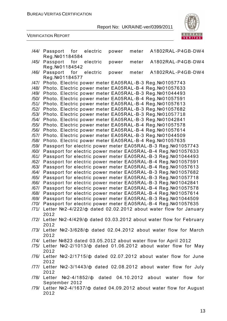

|      | A1802RAL-P4GB-DW4                                                              |  |
|------|--------------------------------------------------------------------------------|--|
|      | /44/ Passport for<br>electric<br>meter<br>power                                |  |
|      | Reg. Nº 01184584                                                               |  |
| /45/ | A1802RAL-P4GB-DW4<br>Passport<br>for<br>electric<br>meter<br>power             |  |
|      | Reg. Nº 01184542                                                               |  |
| /46/ | Passport<br>for<br>electric<br>meter<br>A1802RAL-P4GB-DW4<br>power             |  |
|      | Reg. Nº01184577                                                                |  |
|      |                                                                                |  |
| /47/ | Photo. Electric power meter EA05RAL-B-3 Reg. №01057743                         |  |
| /48/ | Photo. Electric power meter EA05RAL-B-4 Reg. №01057633                         |  |
| /49/ | Photo. Electric power meter EA05RAL-B-3 Reg. №01044493                         |  |
| /50/ | Photo. Electric power meter EA05RAL-B-4 Reg. №01057591                         |  |
| /51/ | Photo. Electric power meter EA05RAL-B-4 Reg. №01057613                         |  |
|      |                                                                                |  |
| /52/ | Photo. Electric power meter EA05RAL-B-3 Reg. №01057682                         |  |
| /53/ | Photo. Electric power meter EA05RAL-B-3 Reg. №01057718                         |  |
| /54/ | Photo. Electric power meter EA05RAL-B-3 Reg. №01042841                         |  |
| /55/ | Photo. Electric power meter EA05RAL-B-4 Reg. №01057578                         |  |
| /56/ | Photo. Electric power meter EA05RAL-B-4 Reg. №01057614                         |  |
|      |                                                                                |  |
| /57/ | Photo. Electric power meter EA05RAL-B-3 Reg. №01044509                         |  |
| /58/ | Photo. Electric power meter EA05RAL-B-4 Reg. №01057635                         |  |
| /59/ | Passport for electric power meter EA05RAL-B-3 Reg. №01057743                   |  |
| /60/ | Passport for electric power meter EA05RAL-B-4 Reg. №01057633                   |  |
| /61/ | Passport for electric power meter EA05RAL-B-3 Reg. №01044493                   |  |
| /62/ | Passport for electric power meter EA05RAL-B-4 Reg. №01057591                   |  |
|      |                                                                                |  |
| /63/ | Passport for electric power meter EA05RAL-B-4 Reg. №01057613                   |  |
| /64/ | Passport for electric power meter EA05RAL-B-3 Reg. №01057682                   |  |
| /65/ | Passport for electric power meter EA05RAL-B-3 Reg. №01057718                   |  |
| /66/ | Passport for electric power meter EA05RAL-B-3 Reg. Nº01042841                  |  |
| /67/ | Passport for electric power meter EA05RAL-B-4 Reg. №01057578                   |  |
| /68/ | Passport for electric power meter EA05RAL-B-4 Reg. №01057614                   |  |
| /69/ | Passport for electric power meter EA05RAL-B-3 Reg. №01044509                   |  |
|      |                                                                                |  |
| /70/ | Passport for electric power meter EA05RAL-B-4 Reg. №01057635                   |  |
| /71/ | Letter №2-4/222/ф dated 02.02.2012 about water flow for January                |  |
|      | 2012                                                                           |  |
|      | $/72/$ Letter Nº2-4/429/ $\phi$ dated 03.03.2012 about water flow for February |  |
|      | 2012                                                                           |  |
|      | /73/ Letter Nº2-3/628/ ¢ dated 02.04.2012 about water flow for March           |  |
|      |                                                                                |  |
|      | 2012                                                                           |  |
|      | /74/ Letter №823 dated 03.05.2012 about water flow for April 2012              |  |
|      | $/75/$ Letter Nº2-2/1013/ $\phi$ dated 01.06.2012 about water flow for May     |  |
|      | 2012                                                                           |  |
|      | /76/ Letter Nº2-2/1715/ ¢ dated 02.07.2012 about water flow for June           |  |
|      |                                                                                |  |
|      | 2012                                                                           |  |
|      | /77/ Letter Nº2-3/1443/ ¢ dated 02.08.2012 about water flow for July           |  |
|      | 2012                                                                           |  |
|      | $/78/$ Letter Nº2-4/1852/ $\phi$ dated 04.10.2012 about water flow for         |  |
|      | September 2012                                                                 |  |
|      | /79/ Letter №2-4/1637/ф dated 04.09.2012 about water flow for August           |  |
|      |                                                                                |  |
|      | 2012                                                                           |  |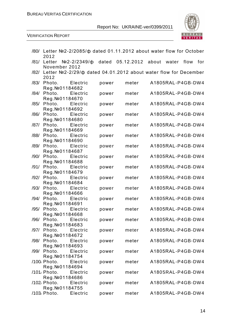

|      | /80/ Letter №2-2/2085/ф dated 01.11.2012 about water flow for October<br>2012                 |       |       |                   |     |
|------|-----------------------------------------------------------------------------------------------|-------|-------|-------------------|-----|
|      | /81/ Letter №2-2/2349/ф dated 05.12.2012 about                                                |       |       | water flow        | for |
|      | November 2012<br>/82/ Letter №2-2/29/ф dated 04.01.2012 about water flow for December<br>2012 |       |       |                   |     |
|      | /83/ Photo. Electric<br>Reg. Nº 01184682                                                      | power | meter | A1805RAL-P4GB-DW4 |     |
| /84/ | Photo. Electric<br>Reg. Nº 01184670                                                           | power | meter | A1805RAL-P4GB-DW4 |     |
| /85/ | Photo.<br>Electric<br>Reg. Nº 01184692                                                        | power | meter | A1805RAL-P4GB-DW4 |     |
|      | /86/ Photo. Electric<br>Reg. Nº 01184680                                                      | power | meter | A1805RAL-P4GB-DW4 |     |
| /87/ | Photo. Electric<br>Reg. Nº01184669                                                            | power | meter | A1805RAL-P4GB-DW4 |     |
|      | /88/ Photo. Electric<br>Reg. Nº 01184690                                                      | power | meter | A1805RAL-P4GB-DW4 |     |
| /89/ | Photo. Electric                                                                               | power | meter | A1805RAL-P4GB-DW4 |     |
|      | Reg. Nº 01184687<br>/90/ Photo. Electric                                                      | power | meter | A1805RAL-P4GB-DW4 |     |
|      | Reg. Nº 01184688<br>/91/ Photo. Electric                                                      | power | meter | A1805RAL-P4GB-DW4 |     |
| /92/ | Reg. Nº 01184679<br>Photo.<br>Electric                                                        | power | meter | A1805RAL-P4GB-DW4 |     |
|      | Reg. Nº 01184684<br>/93/ Photo. Electric                                                      | power | meter | A1805RAL-P4GB-DW4 |     |
| /94/ | Reg. Nº 01184666<br>Photo. Electric                                                           | power | meter | A1805RAL-P4GB-DW4 |     |
| /95/ | Reg. Nº 01184691<br>Photo.<br>Electric                                                        | power | meter | A1805RAL-P4GB-DW4 |     |
|      | Reg. Nº 01184668<br>/96/ Photo.<br>Electric                                                   | power | meter | A1805RAL-P4GB-DW4 |     |
| /97/ | Reg. Nº 01184683<br>Photo.<br>Electric                                                        | power | meter | A1805RAL-P4GB-DW4 |     |
|      | Reg. Nº 01184672<br>/98/ Photo.<br>Electric                                                   | power | meter | A1805RAL-P4GB-DW4 |     |
|      | Reg. Nº 01184693<br>/99/ Photo.<br>Electric                                                   | power | meter | A1805RAL-P4GB-DW4 |     |
|      | Reg. Nº 01184754<br>/100 <sub>/</sub> Photo.<br>Electric                                      | power | meter | A1805RAL-P4GB-DW4 |     |
|      | Reg. Nº 01184694<br>/101/ Photo. Electric                                                     | power | meter | A1805RAL-P4GB-DW4 |     |
|      | Reg. Nº 01184686<br>/102/ Photo.<br>Electric                                                  | power | meter | A1805RAL-P4GB-DW4 |     |
|      | Reg. Nº 01184755<br>/103 <sub>/</sub> Photo.<br>Electric                                      | power | meter | A1805RAL-P4GB-DW4 |     |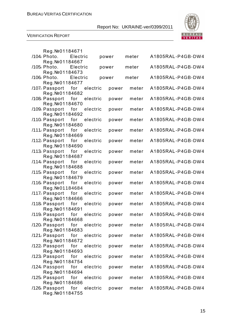

|  | Reg. №01184671                                     |     |          |       |       |       |                   |  |
|--|----------------------------------------------------|-----|----------|-------|-------|-------|-------------------|--|
|  | /104/ Photo. Electric                              |     |          | power |       | meter | A1805RAL-P4GB-DW4 |  |
|  | Reg. Nº 01184667                                   |     |          |       |       |       |                   |  |
|  | /105/ Photo. Electric                              |     |          | power |       | meter | A1805RAL-P4GB-DW4 |  |
|  | Reg. Nº 01184673                                   |     |          |       |       |       |                   |  |
|  | /106/ Photo. Electric                              |     |          | power |       | meter | A1805RAL-P4GB-DW4 |  |
|  | Reg. Nº 01184677                                   |     |          |       |       | meter | A1805RAL-P4GB-DW4 |  |
|  | /107/ Passport for electric<br>Reg. Nº 01184682    |     |          |       | power |       |                   |  |
|  | /108 <sub>/</sub> Passport for                     |     | electric |       | power | meter | A1805RAL-P4GB-DW4 |  |
|  | Reg. Nº 01184670                                   |     |          |       |       |       |                   |  |
|  | /109 <sub>/</sub> Passport for                     |     | electric |       | power | meter | A1805RAL-P4GB-DW4 |  |
|  | Reg. Nº 01184692                                   |     |          |       |       |       |                   |  |
|  | /110 <sub>/</sub> Passport for                     |     | electric |       | power | meter | A1805RAL-P4GB-DW4 |  |
|  | Reg. Nº 01184680                                   |     |          |       |       |       |                   |  |
|  | /111, Passport for                                 |     | electric |       | power | meter | A1805RAL-P4GB-DW4 |  |
|  | Reg. Nº 01184669                                   |     |          |       |       |       |                   |  |
|  | /112 Passport for                                  |     | electric |       | power | meter | A1805RAL-P4GB-DW4 |  |
|  | Reg. Nº 01184690                                   |     |          |       |       |       |                   |  |
|  | /113 <sub>/</sub> Passport for                     |     | electric |       | power | meter | A1805RAL-P4GB-DW4 |  |
|  | Reg. Nº 01184687                                   |     |          |       |       |       |                   |  |
|  | /114 <sub>/</sub> Passport for<br>Reg. Nº01184688  |     | electric |       | power | meter | A1805RAL-P4GB-DW4 |  |
|  | /115 <sub>/</sub> Passport for                     |     | electric |       | power | meter | A1805RAL-P4GB-DW4 |  |
|  | Reg. Nº 01184679                                   |     |          |       |       |       |                   |  |
|  | /116 Passport for                                  |     | electric |       | power | meter | A1805RAL-P4GB-DW4 |  |
|  | Reg. Nº 01184684                                   |     |          |       |       |       |                   |  |
|  | /117, Passport for                                 |     | electric |       | power | meter | A1805RAL-P4GB-DW4 |  |
|  | Reg. Nº 01184666                                   |     |          |       |       |       |                   |  |
|  | /118 <sub>/</sub> Passport for                     |     | electric |       | power | meter | A1805RAL-P4GB-DW4 |  |
|  | Reg. Nº 01184691                                   |     |          |       |       |       |                   |  |
|  | /119 <sub>/</sub> Passport for                     |     | electric |       | power | meter | A1805RAL-P4GB-DW4 |  |
|  | Reg. №01184668                                     |     |          |       |       |       |                   |  |
|  | /120, Passport for electric                        |     |          |       | power | meter | A1805RAL-P4GB-DW4 |  |
|  | Reg. Nº 01184683<br>/121 <sub>/</sub> Passport for |     |          |       |       |       |                   |  |
|  | Reg. Nº01184672                                    |     | electric |       | power | meter | A1805RAL-P4GB-DW4 |  |
|  | /122 <sub>/</sub> Passport for                     |     | electric |       | power | meter | A1805RAL-P4GB-DW4 |  |
|  | Reg. Nº 01184693                                   |     |          |       |       |       |                   |  |
|  | /123 <sub>/</sub> Passport for                     |     | electric |       | power | meter | A1805RAL-P4GB-DW4 |  |
|  | Reg. Nº 01184754                                   |     |          |       |       |       |                   |  |
|  | /124 <sub>/</sub> Passport for                     |     | electric |       | power | meter | A1805RAL-P4GB-DW4 |  |
|  | Reg. Nº 01184694                                   |     |          |       |       |       |                   |  |
|  | /125 <sub>/</sub> Passport for electric            |     |          |       | power | meter | A1805RAL-P4GB-DW4 |  |
|  | Reg. Nº 01184686                                   |     |          |       |       |       |                   |  |
|  | /126 <sub>/</sub> Passport                         | for | electric |       | power | meter | A1805RAL-P4GB-DW4 |  |
|  | Reg. Nº 01184755                                   |     |          |       |       |       |                   |  |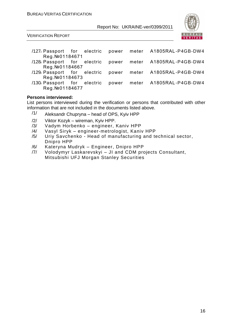

VERIFICATION REPORT

- /127/ Passport for electric power meter А1805RAL -P4GB-DW4 Reg.№01184671
- /128/ Passport for electric power meter А1805RAL -P4GB-DW4 Reg. №01184667<br>129، Passport for
- for electric power meter A1805RAL-P4GB-DW4 Reg.№01184673
- /130/ Passport for electric power meter А1805RAL -P4GB-DW4 Reg.№01184677

#### **Persons interviewed:**

List persons interviewed during the verification or persons that contributed with other information that are not included in the documents listed above.

- $/1/$  Aleksandr Chupryna head of OPS, Kyiv HPP
- /2/ Viktor Kozyk wireman, Kyiv HPP.
- /3/ Vadym Horbenko engineer, Kaniv HPP
- /4/ Vasyl Siryk engineer-metrologist, Kaniv HPP
- /5/ Uriy Savchenko Head of manufacturing and technical sector, Dnipro HPP
- /6/ Kateryna Mudryk Engineer, Dnipro HPP
- /7/ Volodymyr Laskarevskyi JI and CDM projects Consultant, Mitsubishi UFJ Morgan Stanley Securities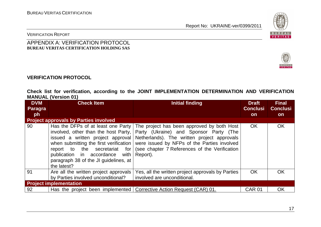

VERITAS

#### VERIFICATION REPORT

#### APPENDIX A: VERIFICATION PROTOCOL **BUREAU VERITAS CERTIFICATION HOLDING SAS**

#### **VERIFICATION PROTOCOL**

#### **Check list for verification, according to the JOINT IMPLEMENTATION DETERMINATION AND VERIFICATION MANUAL (Version 01)**

| <b>DVM</b> | <b>Check Item</b>                                                                                                                                                                                                                                                                    | <b>Initial finding</b>                                                                                                                                                                                                                          | <b>Draft</b>    | <b>Final</b>    |
|------------|--------------------------------------------------------------------------------------------------------------------------------------------------------------------------------------------------------------------------------------------------------------------------------------|-------------------------------------------------------------------------------------------------------------------------------------------------------------------------------------------------------------------------------------------------|-----------------|-----------------|
| Paragra    |                                                                                                                                                                                                                                                                                      |                                                                                                                                                                                                                                                 | <b>Conclusi</b> | <b>Conclusi</b> |
| ph         |                                                                                                                                                                                                                                                                                      |                                                                                                                                                                                                                                                 | <b>on</b>       | <b>on</b>       |
|            | <b>Project approvals by Parties involved</b>                                                                                                                                                                                                                                         |                                                                                                                                                                                                                                                 |                 |                 |
| 90         | Has the DFPs of at least one Party<br>involved, other than the host Party,<br>issued a written project approval<br>when submitting the first verification<br>report to the secretariat for<br>publication in accordance with<br>paragraph 38 of the JI guidelines, at<br>the latest? | The project has been approved by both Host<br>Party (Ukraine) and Sponsor Party (The<br>Netherlands). The written project approvals<br>were issued by NFPs of the Parties involved<br>(see chapter 7 References of the Verification<br>Report). | <b>OK</b>       | OK              |
| 91         | Are all the written project approvals<br>by Parties involved unconditional?                                                                                                                                                                                                          | Yes, all the written project approvals by Parties<br>involved are unconditional.                                                                                                                                                                | <b>OK</b>       | OK              |
|            | <b>Project implementation</b>                                                                                                                                                                                                                                                        |                                                                                                                                                                                                                                                 |                 |                 |
| 92         |                                                                                                                                                                                                                                                                                      | Has the project been implemented   Corrective Action Request (CAR) 01.                                                                                                                                                                          | <b>CAR 01</b>   | OK              |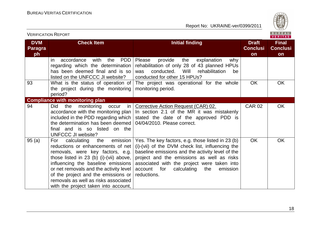

|                                    |                                                                                                                                                                                                                                                                                                                                                                  |                                                                                                                                                                                                                                                                                                                           |                                       | VERITAS                               |
|------------------------------------|------------------------------------------------------------------------------------------------------------------------------------------------------------------------------------------------------------------------------------------------------------------------------------------------------------------------------------------------------------------|---------------------------------------------------------------------------------------------------------------------------------------------------------------------------------------------------------------------------------------------------------------------------------------------------------------------------|---------------------------------------|---------------------------------------|
| <b>DVM</b><br><b>Paragra</b><br>ph | <b>Check Item</b>                                                                                                                                                                                                                                                                                                                                                | <b>Initial finding</b>                                                                                                                                                                                                                                                                                                    | <b>Draft</b><br><b>Conclusi</b><br>on | <b>Final</b><br><b>Conclusi</b><br>on |
|                                    | <b>PDD</b><br>with<br>the<br>accordance<br>in.<br>regarding which the determination<br>has been deemed final and is so<br>listed on the UNFCCC JI website?                                                                                                                                                                                                       | Please<br>provide<br>the<br>explanation<br>why<br>rehabilitation of only 28 of 43 planned HPUs<br>conducted.<br>Will<br>rehabilitation<br>was<br>be<br>conducted for other 15 HPUs?                                                                                                                                       |                                       |                                       |
| 93                                 | What is the status of operation of<br>the project during the monitoring<br>period?                                                                                                                                                                                                                                                                               | The project was operational for the whole<br>monitoring period.                                                                                                                                                                                                                                                           | <b>OK</b>                             | <b>OK</b>                             |
|                                    | <b>Compliance with monitoring plan</b>                                                                                                                                                                                                                                                                                                                           |                                                                                                                                                                                                                                                                                                                           |                                       |                                       |
| 94                                 | Did<br>the<br>monitoring<br>in<br>occur<br>accordance with the monitoring plan<br>included in the PDD regarding which<br>the determination has been deemed<br>final and is so listed on the<br>UNFCCC JI website?                                                                                                                                                | Corrective Action Request (CAR) 02.<br>In section 2.1 of the MR it was mistakenly<br>stated the date of the approved PDD is<br>04/04/2010. Please correct.                                                                                                                                                                | <b>CAR 02</b>                         | <b>OK</b>                             |
| 95(a)                              | emission<br>calculating<br>the<br>For<br>reductions or enhancements of net<br>removals, were key factors, e.g.<br>those listed in 23 (b) (i)-(vii) above,<br>influencing the baseline emissions<br>or net removals and the activity level<br>of the project and the emissions or<br>removals as well as risks associated<br>with the project taken into account, | Yes. The key factors, e.g. those listed in 23 (b)<br>(i)-(vii) of the DVM check list, influencing the<br>baseline emissions and the activity level of the<br>project and the emissions as well as risks<br>associated with the project were taken into<br>calculating<br>for<br>account<br>the<br>emission<br>reductions. | <b>OK</b>                             | <b>OK</b>                             |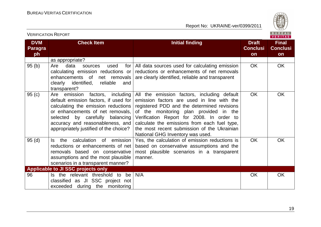

|                                    | <b>VERIFICATION REPORT</b>                                                                                                                                                                                                                                                    |                                                                                                                                                                                                                                                                                                                                                                    |                                       | BUREAU<br><b>VERITAS</b>              |
|------------------------------------|-------------------------------------------------------------------------------------------------------------------------------------------------------------------------------------------------------------------------------------------------------------------------------|--------------------------------------------------------------------------------------------------------------------------------------------------------------------------------------------------------------------------------------------------------------------------------------------------------------------------------------------------------------------|---------------------------------------|---------------------------------------|
| <b>DVM</b><br><b>Paragra</b><br>ph | <b>Check Item</b>                                                                                                                                                                                                                                                             | <b>Initial finding</b>                                                                                                                                                                                                                                                                                                                                             | <b>Draft</b><br><b>Conclusi</b><br>on | <b>Final</b><br><b>Conclusi</b><br>on |
|                                    | as appropriate?                                                                                                                                                                                                                                                               |                                                                                                                                                                                                                                                                                                                                                                    |                                       |                                       |
| 95(b)                              | Are<br>data<br>used<br>for<br>sources<br>calculating emission reductions or<br>enhancements of<br>net removals<br>clearly identified,<br>reliable<br>and<br>transparent?                                                                                                      | All data sources used for calculating emission<br>reductions or enhancements of net removals<br>are clearly identified, reliable and transparent                                                                                                                                                                                                                   | <b>OK</b>                             | OK                                    |
| 95(c)                              | Are<br>emission<br>factors,<br>including<br>default emission factors, if used for<br>calculating the emission reductions<br>or enhancements of net removals,<br>selected by carefully balancing<br>accuracy and reasonableness, and<br>appropriately justified of the choice? | All the emission factors, including default<br>emission factors are used in line with the<br>registered PDD and the determined revisions<br>of the monitoring plan provided in the<br>Verification Report for 2008. In order to<br>calculate the emissions from each fuel type,<br>the most recent submission of the Ukrainian<br>National GHG Inventory was used. | <b>OK</b>                             | <b>OK</b>                             |
| 95(d)                              | calculation of<br>emission<br>the<br>Is.<br>reductions or enhancements of net<br>removals based on conservative<br>assumptions and the most plausible<br>scenarios in a transparent manner?                                                                                   | Yes, the calculation of emission reductions is<br>based on conservative assumptions and the<br>most plausible scenarios in a transparent<br>manner.                                                                                                                                                                                                                | <b>OK</b>                             | <b>OK</b>                             |
|                                    | Applicable to JI SSC projects only                                                                                                                                                                                                                                            |                                                                                                                                                                                                                                                                                                                                                                    |                                       |                                       |
| 96                                 | Is the relevant threshold to be<br>classified as JI SSC project not<br>exceeded during the monitoring                                                                                                                                                                         | N/A                                                                                                                                                                                                                                                                                                                                                                | OK                                    | OK                                    |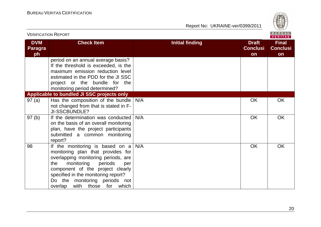

| <b>VERIFICATION REPORT</b>         |                                                                                                                                                                                                                                                                                                     |                        |                                       | B U R E A U  <br><b>VERITAS</b>       |
|------------------------------------|-----------------------------------------------------------------------------------------------------------------------------------------------------------------------------------------------------------------------------------------------------------------------------------------------------|------------------------|---------------------------------------|---------------------------------------|
| <b>DVM</b><br><b>Paragra</b><br>ph | <b>Check Item</b>                                                                                                                                                                                                                                                                                   | <b>Initial finding</b> | <b>Draft</b><br><b>Conclusi</b><br>on | <b>Final</b><br><b>Conclusi</b><br>on |
|                                    | period on an annual average basis?<br>If the threshold is exceeded, is the<br>maximum emission reduction level<br>estimated in the PDD for the JI SSC<br>project or the bundle for the<br>monitoring period determined?                                                                             |                        |                                       |                                       |
|                                    | Applicable to bundled JI SSC projects only                                                                                                                                                                                                                                                          |                        |                                       |                                       |
| 97(a)                              | Has the composition of the bundle<br>not changed from that is stated in F-<br>JI-SSCBUNDLE?                                                                                                                                                                                                         | N/A                    | <b>OK</b>                             | OK                                    |
| 97(b)                              | If the determination was conducted<br>on the basis of an overall monitoring<br>plan, have the project participants<br>submitted a common monitoring<br>report?                                                                                                                                      | N/A                    | <b>OK</b>                             | <b>OK</b>                             |
| 98                                 | If the monitoring is based on $a$<br>monitoring plan that provides for<br>overlapping monitoring periods, are<br>monitoring<br>periods<br>the<br>per<br>component of the project clearly<br>specified in the monitoring report?<br>Do the monitoring periods not<br>overlap<br>with those for which | N/A                    | <b>OK</b>                             | <b>OK</b>                             |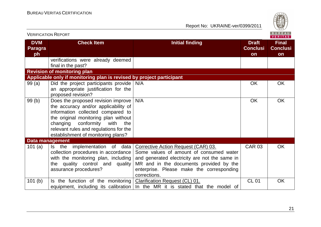

| <b>VERIFICATION REPORT</b>         |                                                                                                                                                                                                                                                                            |                                                                                                                                                                                                                                         |                                       | <b>BUREAU</b><br><b>VERITAS</b>       |
|------------------------------------|----------------------------------------------------------------------------------------------------------------------------------------------------------------------------------------------------------------------------------------------------------------------------|-----------------------------------------------------------------------------------------------------------------------------------------------------------------------------------------------------------------------------------------|---------------------------------------|---------------------------------------|
| <b>DVM</b><br><b>Paragra</b><br>ph | <b>Check Item</b>                                                                                                                                                                                                                                                          | <b>Initial finding</b>                                                                                                                                                                                                                  | <b>Draft</b><br><b>Conclusi</b><br>on | <b>Final</b><br><b>Conclusi</b><br>on |
|                                    | verifications were already deemed<br>final in the past?                                                                                                                                                                                                                    |                                                                                                                                                                                                                                         |                                       |                                       |
|                                    | <b>Revision of monitoring plan</b>                                                                                                                                                                                                                                         |                                                                                                                                                                                                                                         |                                       |                                       |
|                                    | Applicable only if monitoring plan is revised by project participant                                                                                                                                                                                                       |                                                                                                                                                                                                                                         |                                       |                                       |
| 99(a)                              | Did the project participants provide   N/A<br>an appropriate justification for the<br>proposed revision?                                                                                                                                                                   |                                                                                                                                                                                                                                         | <b>OK</b>                             | <b>OK</b>                             |
| 99(b)                              | Does the proposed revision improve<br>the accuracy and/or applicability of<br>information collected compared to<br>the original monitoring plan without<br>changing conformity with<br>the<br>relevant rules and regulations for the<br>establishment of monitoring plans? | N/A                                                                                                                                                                                                                                     | <b>OK</b>                             | <b>OK</b>                             |
| <b>Data management</b>             |                                                                                                                                                                                                                                                                            |                                                                                                                                                                                                                                         |                                       |                                       |
| 101(a)                             | Is the implementation of<br>data  <br>collection procedures in accordance<br>with the monitoring plan, including<br>the quality control and quality<br>assurance procedures?                                                                                               | Corrective Action Request (CAR) 03.<br>Some values of amount of consumed water<br>and generated electricity are not the same in<br>MR and in the documents provided by the<br>enterprise. Please make the corresponding<br>corrections. | <b>CAR 03</b>                         | <b>OK</b>                             |
| 101(b)                             | Is the function of the monitoring                                                                                                                                                                                                                                          | <b>Clarification Request (CL) 01.</b><br>equipment, including its calibration   In the MR it is stated that the model of                                                                                                                | <b>CL 01</b>                          | OK                                    |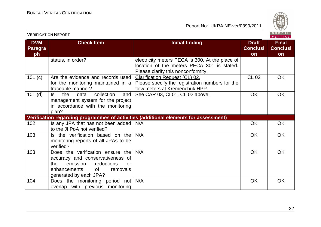

|                                    | <b>VERIFICATION REPORT</b>                                                                                                                                                            |                                                                                                                                     |                                       | BUREAU<br><b>VERITAS</b>              |
|------------------------------------|---------------------------------------------------------------------------------------------------------------------------------------------------------------------------------------|-------------------------------------------------------------------------------------------------------------------------------------|---------------------------------------|---------------------------------------|
| <b>DVM</b><br><b>Paragra</b><br>ph | <b>Check Item</b>                                                                                                                                                                     | <b>Initial finding</b>                                                                                                              | <b>Draft</b><br><b>Conclusi</b><br>on | <b>Final</b><br><b>Conclusi</b><br>on |
|                                    | status, in order?                                                                                                                                                                     | electricity meters PECA is 300. At the place of<br>location of the meters PECA 301 is stated.<br>Please clarify this nonconformity. |                                       |                                       |
| 101 (c)                            | Are the evidence and records used<br>for the monitoring maintained in a<br>traceable manner?                                                                                          | Clarification Request (CL) 02.<br>Please specify the registration numbers for the<br>flow meters at Kremenchuk HPP.                 | <b>CL 02</b>                          | <b>OK</b>                             |
| $101$ (d)                          | collection<br>data<br>ls.<br>the<br>and<br>management system for the project<br>in accordance with the monitoring<br>plan?                                                            | See CAR 03, CL01, CL 02 above.                                                                                                      | <b>OK</b>                             | <b>OK</b>                             |
|                                    |                                                                                                                                                                                       | Verification regarding programmes of activities (additional elements for assessment)                                                |                                       |                                       |
| 102                                | Is any JPA that has not been added   N/A<br>to the JI PoA not verified?                                                                                                               |                                                                                                                                     | <b>OK</b>                             | <b>OK</b>                             |
| 103                                | Is the verification based on the<br>monitoring reports of all JPAs to be<br>verified?                                                                                                 | N/A                                                                                                                                 | <b>OK</b>                             | <b>OK</b>                             |
| 103                                | Does the verification ensure the<br>accuracy and conservativeness of<br>emission<br>reductions<br>the<br><b>or</b><br>$\circ$ f<br>enhancements<br>removals<br>generated by each JPA? | N/A                                                                                                                                 | <b>OK</b>                             | <b>OK</b>                             |
| 104                                | Does the monitoring period not<br>overlap with previous monitoring                                                                                                                    | N/A                                                                                                                                 | OK                                    | OK                                    |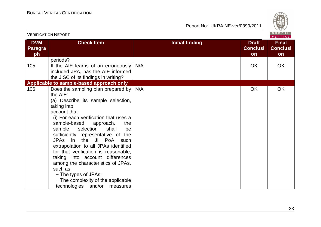

|                             | <b>VERIFICATION REPORT</b>                                                                                                                                                                                                                                                                                                                                                                                                                                                                                                                                                     |                        |                                       | B U R E A U  <br>VERITAS                     |
|-----------------------------|--------------------------------------------------------------------------------------------------------------------------------------------------------------------------------------------------------------------------------------------------------------------------------------------------------------------------------------------------------------------------------------------------------------------------------------------------------------------------------------------------------------------------------------------------------------------------------|------------------------|---------------------------------------|----------------------------------------------|
| <b>DVM</b><br>Paragra<br>ph | <b>Check Item</b>                                                                                                                                                                                                                                                                                                                                                                                                                                                                                                                                                              | <b>Initial finding</b> | <b>Draft</b><br><b>Conclusi</b><br>on | <b>Final</b><br><b>Conclusi</b><br><b>on</b> |
|                             | periods?                                                                                                                                                                                                                                                                                                                                                                                                                                                                                                                                                                       |                        |                                       |                                              |
| 105                         | If the AIE learns of an erroneously<br>included JPA, has the AIE informed<br>the JISC of its findings in writing?                                                                                                                                                                                                                                                                                                                                                                                                                                                              | N/A                    | <b>OK</b>                             | <b>OK</b>                                    |
|                             | Applicable to sample-based approach only                                                                                                                                                                                                                                                                                                                                                                                                                                                                                                                                       |                        |                                       |                                              |
| 106                         | Does the sampling plan prepared by<br>the AIE:<br>(a) Describe its sample selection,<br>taking into<br>account that:<br>(i) For each verification that uses a<br>sample-based<br>approach,<br>the<br>selection<br>sample<br>shall<br>be<br>sufficiently representative of the<br>JPAs in the JI PoA such<br>extrapolation to all JPAs identified<br>for that verification is reasonable,<br>taking into account differences<br>among the characteristics of JPAs,<br>such as:<br>- The types of JPAs;<br>- The complexity of the applicable<br>technologies and/or<br>measures | N/A                    | OK                                    | OK                                           |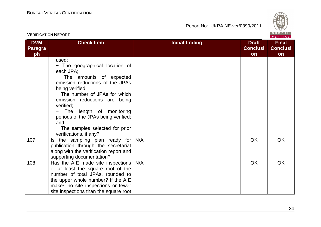

| <b>VERIFICATION REPORT</b>         |                                                                                                                                                                                                                                                                                                                                                               |                        |                                       | BUREAU<br>VERITAS                     |
|------------------------------------|---------------------------------------------------------------------------------------------------------------------------------------------------------------------------------------------------------------------------------------------------------------------------------------------------------------------------------------------------------------|------------------------|---------------------------------------|---------------------------------------|
| <b>DVM</b><br><b>Paragra</b><br>ph | <b>Check Item</b>                                                                                                                                                                                                                                                                                                                                             | <b>Initial finding</b> | <b>Draft</b><br><b>Conclusi</b><br>on | <b>Final</b><br><b>Conclusi</b><br>on |
|                                    | used;<br>- The geographical location of<br>each JPA:<br>The amounts of expected<br>emission reductions of the JPAs<br>being verified;<br>- The number of JPAs for which<br>emission reductions are being<br>verified:<br>The length of monitoring<br>periods of the JPAs being verified;<br>and<br>- The samples selected for prior<br>verifications, if any? |                        |                                       |                                       |
| 107                                | Is the sampling plan ready for<br>publication through the secretariat<br>along with the verification report and<br>supporting documentation?                                                                                                                                                                                                                  | N/A                    | OK                                    | <b>OK</b>                             |
| 108                                | Has the AIE made site inspections<br>of at least the square root of the<br>number of total JPAs, rounded to<br>the upper whole number? If the AIE<br>makes no site inspections or fewer<br>site inspections than the square root                                                                                                                              | N/A                    | <b>OK</b>                             | <b>OK</b>                             |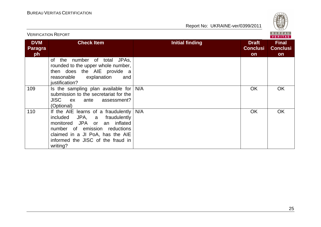

|                                    | BUREAU<br><b>VERIFICATION REPORT</b><br><b>VERITAS</b>                                                                                                                                                                                                 |                        |                                       |                                       |  |
|------------------------------------|--------------------------------------------------------------------------------------------------------------------------------------------------------------------------------------------------------------------------------------------------------|------------------------|---------------------------------------|---------------------------------------|--|
| <b>DVM</b><br><b>Paragra</b><br>ph | <b>Check Item</b>                                                                                                                                                                                                                                      | <b>Initial finding</b> | <b>Draft</b><br><b>Conclusi</b><br>on | <b>Final</b><br><b>Conclusi</b><br>on |  |
|                                    | number of total<br>JPA <sub>S</sub> ,<br>of the<br>rounded to the upper whole number,<br>then does the AIE provide a<br>reasonable<br>explanation<br>and<br>justification?                                                                             |                        |                                       |                                       |  |
| 109                                | Is the sampling plan available for $N/A$<br>submission to the secretariat for the<br>JISC ex<br>assessment?<br>ante<br>(Optional)                                                                                                                      |                        | <b>OK</b>                             | OK.                                   |  |
| 110                                | If the AIE learns of a fraudulently $N/A$<br>JPA,<br>fraudulently<br>included<br>$\mathsf{a}$<br>monitored JPA or<br>an inflated<br>number of emission reductions<br>claimed in a JI PoA, has the AIE<br>informed the JISC of the fraud in<br>writing? |                        | <b>OK</b>                             | <b>OK</b>                             |  |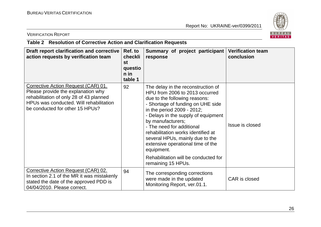

VERIFICATION REPORT

#### **Table 2 Resolution of Corrective Action and Clarification Requests**

| Draft report clarification and corrective<br>action requests by verification team                                                                                                                  | Ref. to<br>checkli<br><b>st</b><br>questio<br>$n$ in<br>table 1 | Summary of project participant<br>response                                                                                                                                                                                                                                                                                                                                                                                                                  | <b>Verification team</b><br>conclusion |
|----------------------------------------------------------------------------------------------------------------------------------------------------------------------------------------------------|-----------------------------------------------------------------|-------------------------------------------------------------------------------------------------------------------------------------------------------------------------------------------------------------------------------------------------------------------------------------------------------------------------------------------------------------------------------------------------------------------------------------------------------------|----------------------------------------|
| Corrective Action Request (CAR) 01.<br>Please provide the explanation why<br>rehabilitation of only 28 of 43 planned<br>HPUs was conducted. Will rehabilitation<br>be conducted for other 15 HPUs? | 92                                                              | The delay in the reconstruction of<br>HPU from 2006 to 2013 occurred<br>due to the following reasons:<br>- Shortage of funding on UHE side<br>in the period 2009 - 2012;<br>- Delays in the supply of equipment<br>by manufacturers;<br>- The need for additional<br>rehabilitation works identified at<br>several HPUs, mainly due to the<br>extensive operational time of the<br>equipment.<br>Rehabilitation will be conducted for<br>remaining 15 HPUs. | Issue is closed                        |
| Corrective Action Request (CAR) 02.<br>In section 2.1 of the MR it was mistakenly<br>stated the date of the approved PDD is<br>04/04/2010. Please correct.                                         | 94                                                              | The corresponding corrections<br>were made in the updated<br>Monitoring Report, ver.01.1.                                                                                                                                                                                                                                                                                                                                                                   | CAR is closed                          |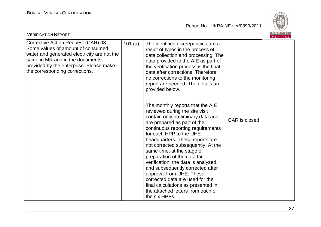

| <b>VERIFICATION REPORT</b>                                                                                                                                                                                                              |        |                                                                                                                                                                                                                                                                                                                                                                                                                                                                                                                                                                                    |               | BUREAU<br><b>VERITAS</b> |
|-----------------------------------------------------------------------------------------------------------------------------------------------------------------------------------------------------------------------------------------|--------|------------------------------------------------------------------------------------------------------------------------------------------------------------------------------------------------------------------------------------------------------------------------------------------------------------------------------------------------------------------------------------------------------------------------------------------------------------------------------------------------------------------------------------------------------------------------------------|---------------|--------------------------|
| Corrective Action Request (CAR) 03.<br>Some values of amount of consumed<br>water and generated electricity are not the<br>same in MR and in the documents<br>provided by the enterprise. Please make<br>the corresponding corrections. | 101(a) | The identified discrepancies are a<br>result of typos in the process of<br>data collection and processing. The<br>data provided to the AIE as part of<br>the verification process is the final<br>data after corrections. Therefore,<br>no corrections to the monitoring<br>report are needed. The details are<br>provided below.                                                                                                                                                                                                                                                  |               |                          |
|                                                                                                                                                                                                                                         |        | The monthly reports that the AIE<br>reviewed during the site visit<br>contain only preliminary data and<br>are prepared as part of the<br>continuous reporting requirements<br>for each HPP to the UHE<br>headquarters. These reports are<br>not corrected subsequently. At the<br>same time, at the stage of<br>preparation of the data for<br>verification, the data is analyzed,<br>and subsequently corrected after<br>approval from UHE. These<br>corrected data are used for the<br>final calculations as presented in<br>the attached letters from each of<br>the six HPPs. | CAR is closed |                          |